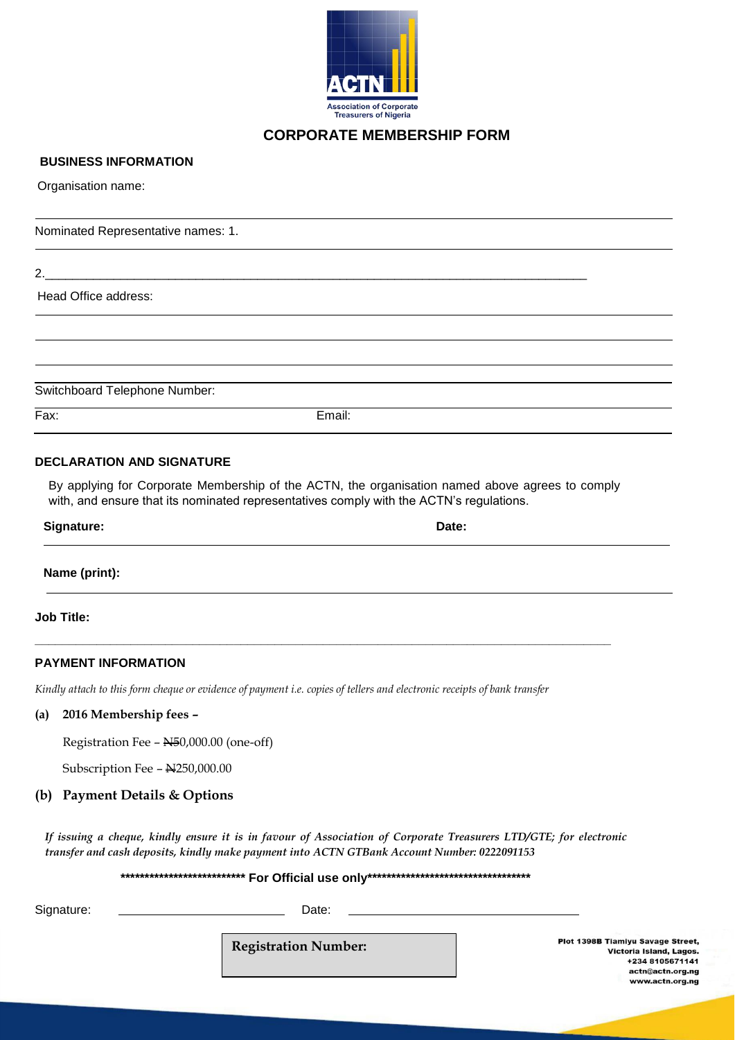

## **CORPORATE MEMBERSHIP FORM**

#### **BUSINESS INFORMATION**

Organisation name:

Nominated Representative names: 1.

2.\_\_\_\_\_\_\_\_\_\_\_\_\_\_\_\_\_\_\_\_\_\_\_\_\_\_\_\_\_\_\_\_\_\_\_\_\_\_\_\_\_\_\_\_\_\_\_\_\_\_\_\_\_\_\_\_\_\_\_\_\_\_\_\_\_\_\_\_\_\_\_\_\_\_\_\_\_\_\_

Head Office address:

Switchboard Telephone Number:

Fax: Email:

#### **DECLARATION AND SIGNATURE**

By applying for Corporate Membership of the ACTN, the organisation named above agrees to comply with, and ensure that its nominated representatives comply with the ACTN's regulations.

| <b>Signature:</b> | Date: |  |
|-------------------|-------|--|
| Name (print):     |       |  |

**Job Title:**

## **PAYMENT INFORMATION**

*Kindly attach to this form cheque or evidence of payment i.e. copies of tellers and electronic receipts of bank transfer*

**\_\_\_\_\_\_\_\_\_\_\_\_\_\_\_\_\_\_\_\_\_\_\_\_\_\_\_\_\_\_\_\_\_\_\_\_\_\_\_\_\_\_\_\_\_\_\_\_\_\_\_\_\_\_\_\_\_\_\_\_\_\_\_\_\_\_\_\_\_\_\_\_\_\_\_\_\_\_\_\_\_\_\_\_**

#### **(a) 2016 Membership fees –**

Registration Fee – N50,000.00 (one-off)

Subscription Fee -  $\text{N}250,000.00$ 

#### **(b) Payment Details & Options**

*If issuing a cheque, kindly ensure it is in favour of Association of Corporate Treasurers LTD/GTE; for electronic transfer and cash deposits, kindly make payment into ACTN GTBank Account Number: 0222091153*

 **\*\*\*\*\*\*\*\*\*\*\*\*\*\*\*\*\*\*\*\*\*\*\*\*\*\* For Official use only\*\*\*\*\*\*\*\*\*\*\*\*\*\*\*\*\*\*\*\*\*\*\*\*\*\*\*\*\*\*\*\*\*\***

Signature: Date:

**Registration Number:**

Plot 1398B Tiamiyu Savage Street, Victoria Island, Lagos. +234 8105671141 actn@actn.org.ng www.actn.org.ng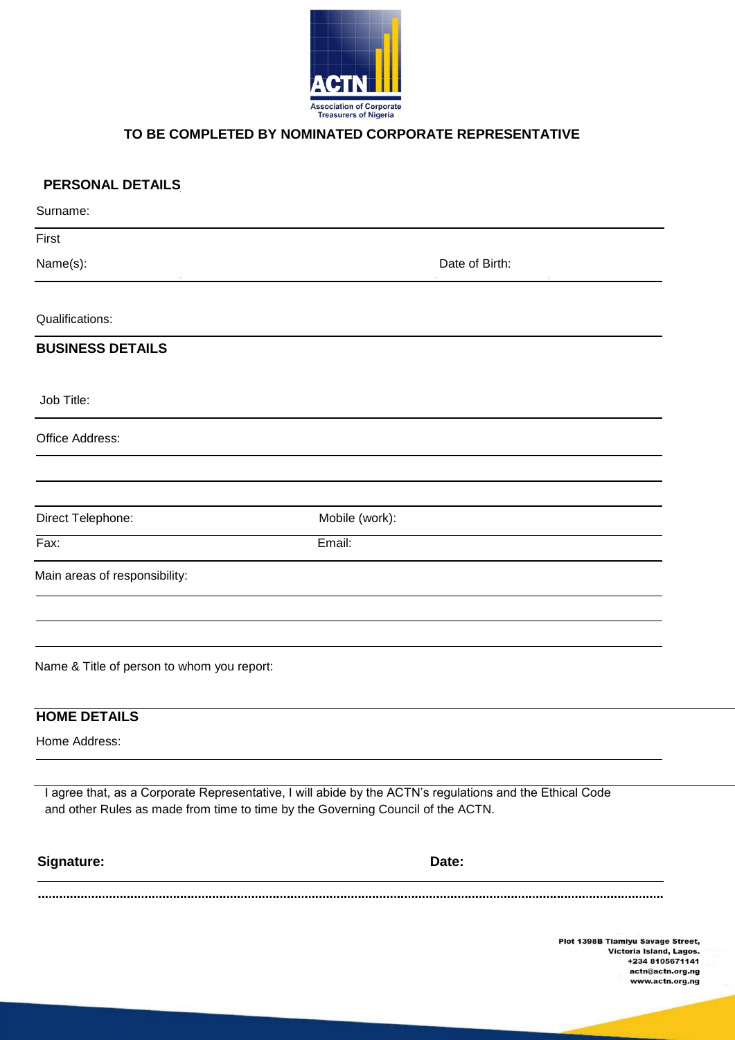

### **TO BE COMPLETED BY NOMINATED CORPORATE REPRESENTATIVE**

| <b>PERSONAL DETAILS</b>                    |                                                                                                                                                                                             |
|--------------------------------------------|---------------------------------------------------------------------------------------------------------------------------------------------------------------------------------------------|
| Surname:                                   |                                                                                                                                                                                             |
| First                                      |                                                                                                                                                                                             |
| Name(s):                                   | Date of Birth:                                                                                                                                                                              |
| Qualifications:                            |                                                                                                                                                                                             |
| <b>BUSINESS DETAILS</b>                    |                                                                                                                                                                                             |
| Job Title:                                 |                                                                                                                                                                                             |
| Office Address:                            |                                                                                                                                                                                             |
|                                            |                                                                                                                                                                                             |
| Direct Telephone:                          | Mobile (work):                                                                                                                                                                              |
| Fax:                                       | Email:                                                                                                                                                                                      |
| Main areas of responsibility:              |                                                                                                                                                                                             |
| Name & Title of person to whom you report: |                                                                                                                                                                                             |
|                                            |                                                                                                                                                                                             |
| <b>HOME DETAILS</b>                        |                                                                                                                                                                                             |
| Home Address:                              |                                                                                                                                                                                             |
|                                            | I agree that, as a Corporate Representative, I will abide by the ACTN's regulations and the Ethical Code<br>and other Rules as made from time to time by the Governing Council of the ACTN. |
| Signature:                                 | Date:                                                                                                                                                                                       |
|                                            |                                                                                                                                                                                             |
|                                            | <b>Plot 1398B Tiamiyu Savage</b><br>Victoria Island,                                                                                                                                        |

Street, Lagos. +234 8105671141 actn@actn.org.ng<br>www.actn.org.ng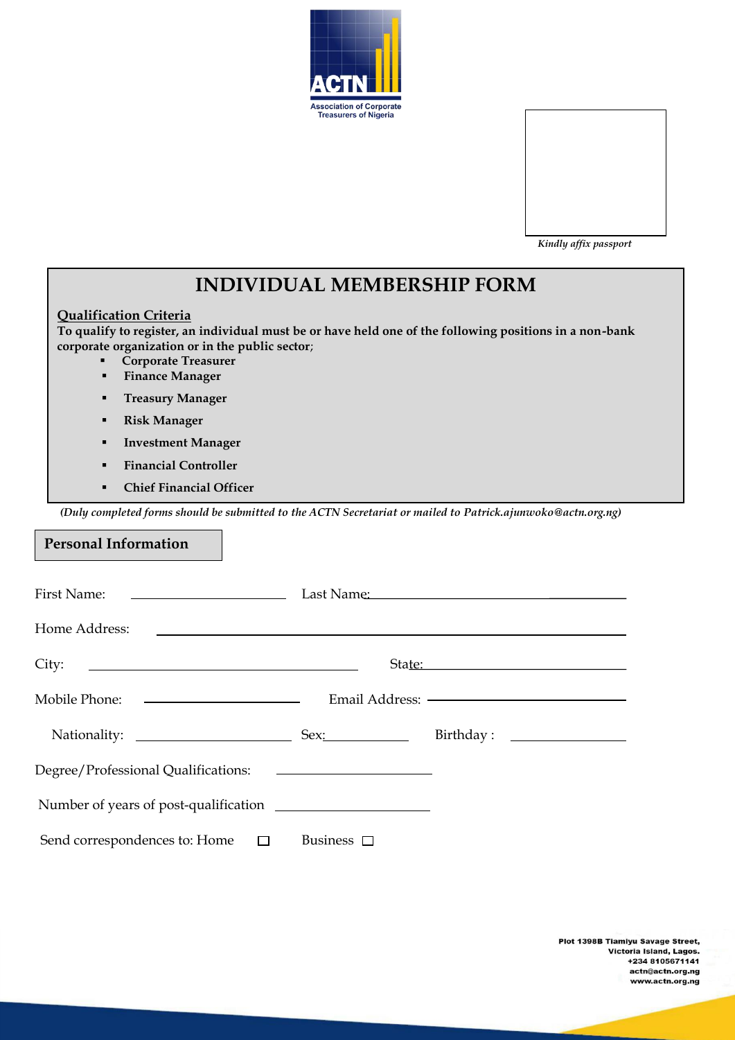



| <b>INDIVIDUAL MEMBERSHIP FORM</b>                                                                                                                                                                                                                                     |                    |                                                                                                                       |  |  |
|-----------------------------------------------------------------------------------------------------------------------------------------------------------------------------------------------------------------------------------------------------------------------|--------------------|-----------------------------------------------------------------------------------------------------------------------|--|--|
| <b>Qualification Criteria</b><br>To qualify to register, an individual must be or have held one of the following positions in a non-bank<br>corporate organization or in the public sector;<br><b>Corporate Treasurer</b><br><b>Finance Manager</b><br>$\blacksquare$ |                    |                                                                                                                       |  |  |
| <b>Treasury Manager</b><br>$\blacksquare$                                                                                                                                                                                                                             |                    |                                                                                                                       |  |  |
| <b>Risk Manager</b><br>٠                                                                                                                                                                                                                                              |                    |                                                                                                                       |  |  |
| <b>Investment Manager</b>                                                                                                                                                                                                                                             |                    |                                                                                                                       |  |  |
| <b>Financial Controller</b>                                                                                                                                                                                                                                           |                    |                                                                                                                       |  |  |
| <b>Chief Financial Officer</b><br>$\blacksquare$                                                                                                                                                                                                                      |                    |                                                                                                                       |  |  |
| (Duly completed forms should be submitted to the ACTN Secretariat or mailed to Patrick.ajunwoko@actn.org.ng)                                                                                                                                                          |                    |                                                                                                                       |  |  |
| <b>Personal Information</b>                                                                                                                                                                                                                                           |                    |                                                                                                                       |  |  |
|                                                                                                                                                                                                                                                                       |                    |                                                                                                                       |  |  |
| Home Address:                                                                                                                                                                                                                                                         |                    | <u> 1989 - Johann Harry Harry Harry Harry Harry Harry Harry Harry Harry Harry Harry Harry Harry Harry Harry Harry</u> |  |  |
| City:<br><u> 1980 - Johann Barbara, martin amerikan basar personal dan basar personal dan basar personal dan basar personal </u>                                                                                                                                      |                    | State:                                                                                                                |  |  |
| Mobile Phone: ————————————————————                                                                                                                                                                                                                                    |                    |                                                                                                                       |  |  |
|                                                                                                                                                                                                                                                                       |                    |                                                                                                                       |  |  |
| Degree/Professional Qualifications:                                                                                                                                                                                                                                   |                    |                                                                                                                       |  |  |
| Number of years of post-qualification                                                                                                                                                                                                                                 |                    |                                                                                                                       |  |  |
| Send correspondences to: Home<br>$\Box$                                                                                                                                                                                                                               | Business $\square$ |                                                                                                                       |  |  |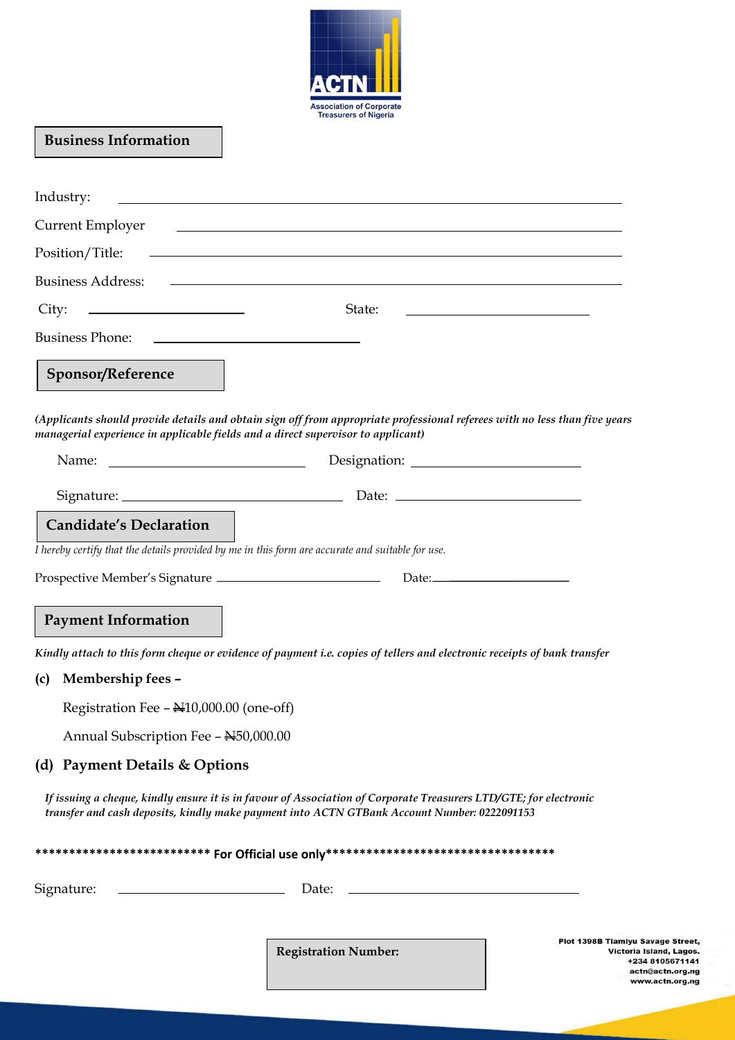

# **Business Information**

.

| Industry:                                                                                                                                       | <u> 1989 - Johann Barn, amerikansk politiker (d. 1989)</u>                                                                                                                                                                           |                                                                                                                               |
|-------------------------------------------------------------------------------------------------------------------------------------------------|--------------------------------------------------------------------------------------------------------------------------------------------------------------------------------------------------------------------------------------|-------------------------------------------------------------------------------------------------------------------------------|
| <b>Current Employer</b>                                                                                                                         | <u> 1980 - Andrea Station Barbara, actor a component de la componentación de la componentación de la componentació</u>                                                                                                               |                                                                                                                               |
| Position/Title:                                                                                                                                 | ,我们也不会有什么。""我们的人,我们也不会有什么?""我们的人,我们也不会有什么?""我们的人,我们也不会有什么?""我们的人,我们也不会有什么?""我们的人                                                                                                                                                     |                                                                                                                               |
| <b>Business Address:</b>                                                                                                                        | <u>some started and the started and the started and the started and the started and the started and the started and the started and the started and the started and the started and the started and the started and the started </u> |                                                                                                                               |
| City:                                                                                                                                           | State:                                                                                                                                                                                                                               | the control of the control of the control of the control of the control of                                                    |
| <b>Business Phone:</b><br><u> 1989 - Johann Harry Harry Harry Harry Harry Harry Harry Harry Harry Harry Harry Harry Harry Harry Harry Harry</u> |                                                                                                                                                                                                                                      |                                                                                                                               |
| <b>Sponsor/Reference</b>                                                                                                                        |                                                                                                                                                                                                                                      |                                                                                                                               |
| managerial experience in applicable fields and a direct supervisor to applicant)                                                                | (Applicants should provide details and obtain sign off from appropriate professional referees with no less than five years                                                                                                           |                                                                                                                               |
|                                                                                                                                                 |                                                                                                                                                                                                                                      |                                                                                                                               |
|                                                                                                                                                 |                                                                                                                                                                                                                                      |                                                                                                                               |
| <b>Candidate's Declaration</b>                                                                                                                  |                                                                                                                                                                                                                                      |                                                                                                                               |
| I hereby certify that the details provided by me in this form are accurate and suitable for use.                                                |                                                                                                                                                                                                                                      |                                                                                                                               |
|                                                                                                                                                 |                                                                                                                                                                                                                                      |                                                                                                                               |
| <b>Payment Information</b>                                                                                                                      |                                                                                                                                                                                                                                      |                                                                                                                               |
|                                                                                                                                                 | Kindly attach to this form cheque or evidence of payment i.e. copies of tellers and electronic receipts of bank transfer                                                                                                             |                                                                                                                               |
| Membership fees -<br>(c)                                                                                                                        |                                                                                                                                                                                                                                      |                                                                                                                               |
| Registration Fee - N10,000.00 (one-off)                                                                                                         |                                                                                                                                                                                                                                      |                                                                                                                               |
| Annual Subscription Fee - N50,000.00                                                                                                            |                                                                                                                                                                                                                                      |                                                                                                                               |
| (d) Payment Details & Options                                                                                                                   |                                                                                                                                                                                                                                      |                                                                                                                               |
|                                                                                                                                                 | If issuing a cheque, kindly ensure it is in favour of Association of Corporate Treasurers LTD/GTE; for electronic<br>transfer and cash deposits, kindly make payment into ACTN GTBank Account Number: 0222091153                     |                                                                                                                               |
|                                                                                                                                                 |                                                                                                                                                                                                                                      |                                                                                                                               |
| Signature:<br><u> 1980 - Johann Barbara, martin a</u>                                                                                           | Date:                                                                                                                                                                                                                                |                                                                                                                               |
|                                                                                                                                                 | <b>Registration Number:</b>                                                                                                                                                                                                          | <b>Plot 1398B Tiamiyu Savage Street,</b><br>Victoria Island, Lagos.<br>+234 8105671141<br>actn@actn.org.ng<br>www.actn.org.ng |